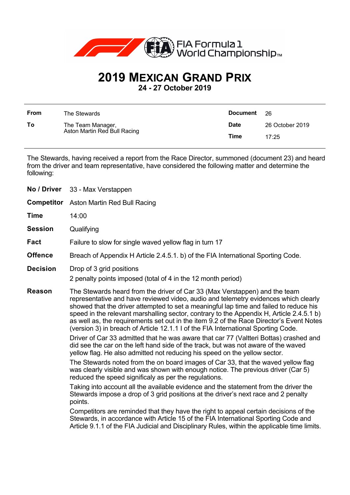

## **2019 MEXICAN GRAND PRIX**

**24 - 27 October 2019**

| From | The Stewards                                      | <b>Document</b> | -26             |
|------|---------------------------------------------------|-----------------|-----------------|
| To   | The Team Manager,<br>Aston Martin Red Bull Racing | <b>Date</b>     | 26 October 2019 |
|      |                                                   | Time            | 17:25           |

The Stewards, having received a report from the Race Director, summoned (document 23) and heard from the driver and team representative, have considered the following matter and determine the following:

| <b>No / Driver</b> | 33 - Max Verstappen                                                                                                                                                                                                                                                                                                                                                                                                                                                                                                                                                                                                              |  |
|--------------------|----------------------------------------------------------------------------------------------------------------------------------------------------------------------------------------------------------------------------------------------------------------------------------------------------------------------------------------------------------------------------------------------------------------------------------------------------------------------------------------------------------------------------------------------------------------------------------------------------------------------------------|--|
|                    | <b>Competitor</b> Aston Martin Red Bull Racing                                                                                                                                                                                                                                                                                                                                                                                                                                                                                                                                                                                   |  |
| Time               | 14:00                                                                                                                                                                                                                                                                                                                                                                                                                                                                                                                                                                                                                            |  |
| <b>Session</b>     | Qualifying                                                                                                                                                                                                                                                                                                                                                                                                                                                                                                                                                                                                                       |  |
| Fact               | Failure to slow for single waved yellow flag in turn 17                                                                                                                                                                                                                                                                                                                                                                                                                                                                                                                                                                          |  |
| <b>Offence</b>     | Breach of Appendix H Article 2.4.5.1. b) of the FIA International Sporting Code.                                                                                                                                                                                                                                                                                                                                                                                                                                                                                                                                                 |  |
| <b>Decision</b>    | Drop of 3 grid positions<br>2 penalty points imposed (total of 4 in the 12 month period)                                                                                                                                                                                                                                                                                                                                                                                                                                                                                                                                         |  |
| Reason             | The Stewards heard from the driver of Car 33 (Max Verstappen) and the team<br>representative and have reviewed video, audio and telemetry evidences which clearly<br>showed that the driver attempted to set a meaningful lap time and failed to reduce his<br>speed in the relevant marshalling sector, contrary to the Appendix H, Article 2.4.5.1 b)<br>as well as, the requirements set out in the item 9.2 of the Race Director's Event Notes<br>(version 3) in breach of Article 12.1.1 I of the FIA International Sporting Code.<br>Driver of Car 33 admitted that he was aware that car 77 (Valtteri Bottas) crashed and |  |
|                    | did see the car on the left hand side of the track, but was not aware of the waved<br>yellow flag. He also admitted not reducing his speed on the yellow sector.                                                                                                                                                                                                                                                                                                                                                                                                                                                                 |  |
|                    | The Stewards noted from the on board images of Car 33, that the waved yellow flag<br>was clearly visible and was shown with enough notice. The previous driver (Car 5)<br>reduced the speed significaly as per the regulations.                                                                                                                                                                                                                                                                                                                                                                                                  |  |
|                    | Taking into account all the available evidence and the statement from the driver the<br>Stewards impose a drop of 3 grid positions at the driver's next race and 2 penalty<br>points.                                                                                                                                                                                                                                                                                                                                                                                                                                            |  |
|                    | Competitors are reminded that they have the right to appeal certain decisions of the<br>Stewards, in accordance with Article 15 of the FIA International Sporting Code and<br>Article 9.1.1 of the FIA Judicial and Disciplinary Rules, within the applicable time limits.                                                                                                                                                                                                                                                                                                                                                       |  |